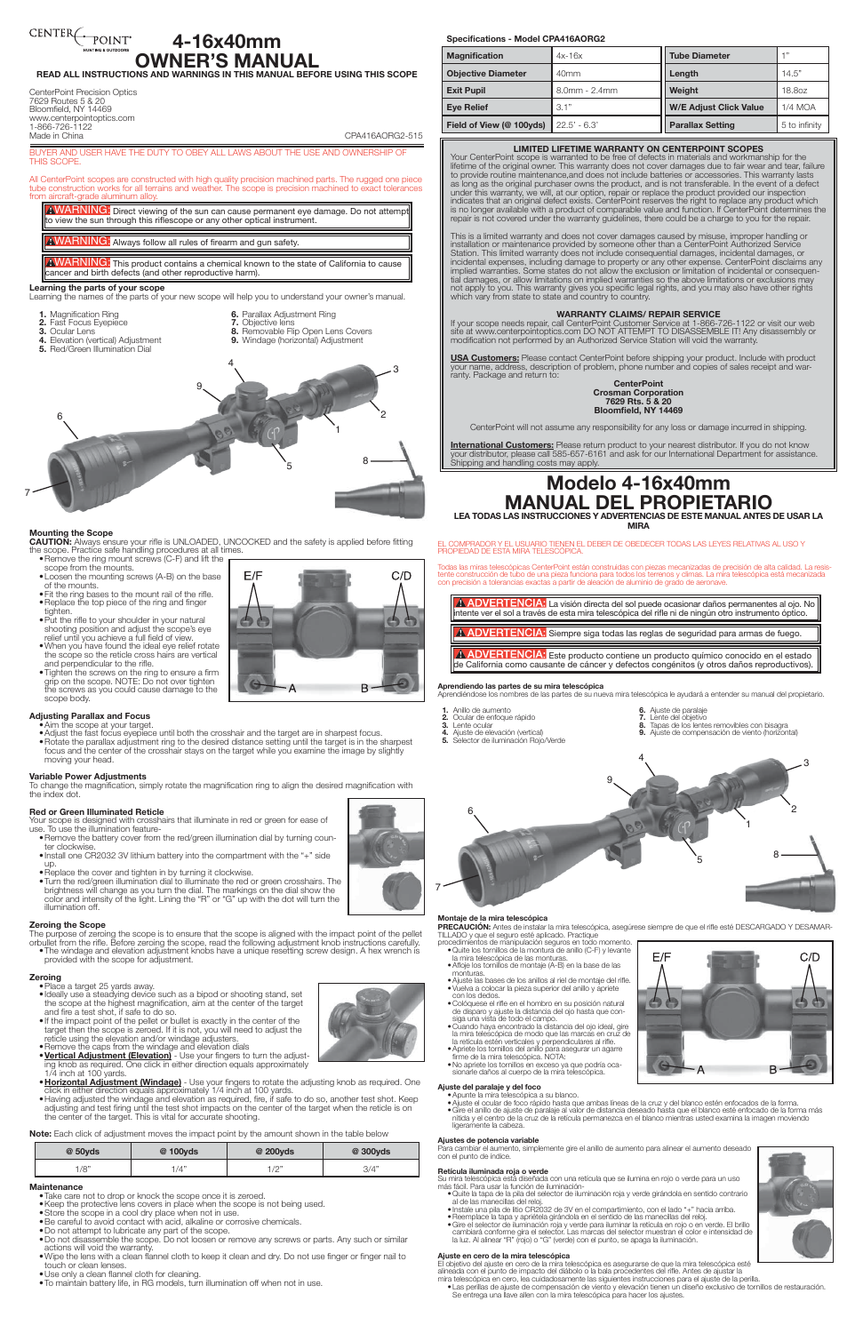# CENTER POINT

# **4-16x40mm R'S MANUAL**

**READ ALL INSTRUCTIONS AND WARNINGS IN THIS MANUAL BEFORE USING THIS SCOPE**

#### CenterPoint Precision Optics 7629 Routes 5 & 20 Bloomfield, NY 14469 www.centerpointoptics.com

1-866-726-1122

Made in China China China China China China China China China China China China China China China China China China China China China China China China China China China China China China China China China China China Chin

BUYER AND USER HAVE THE DUTY TO OBEY ALL LAWS ABOUT THE USE AND OWNERSHIP OF THIS SCOPE.

All CenterPoint scopes are constructed with high quality precision machined parts. The rugged one piece tube construction works for all terrains and weather. The scope is precision machined to exact tolerances from aircraft-grade aluminum alloy.

AWARNING: Direct viewing of the sun can cause permanent eye damage. Do not attempt to view the sun through this riflescope or any other optical instrument

AWARNING: This product contains a chemical known to the state of California to cause cancer and birth defects (and other reproductive harm).

- **3.** Ocular Lens
- 
- **6.** Parallax Adjustment Ring **7.** Objective lens<br>**8.** Bemovable Flire
- **4.** Elevation (vertical) Adjustment
- **5.** Red/Green Illumination Dial

WARNING: Always follow all rules of firearm and gun safety.

**Learning the parts of your scope** Learning the names of the parts of your new scope will help you to understand your owner's manual.

- **1.** Magnification Ring
- **2.** Fast Focus Eyepiece

**8.** Removable Flip Open Lens Covers **9.** Windage (horizontal) Adjustment

# **Mounting the Scope**

**CAUTION:** Always ensure your rifle is UNLOADED, UNCOCKED and the safety is applied before fitting the scope. Practice safe handling procedures at all times.

- Remove the battery cover from the red/green illumination dial by turning coun-<br>ter clockwise. •Install one CR2032 3V lithium battery into the compartment with the "+" side
- up.
- •Replace the cover and tighten in by turning it clockwise.
- •Turn the red/green illumination dial to illuminate the red or green crosshairs. The brightness will change as you turn the dial. The markings on the dial show the color and intensity of the light. Lining the "R" or "G" up with the dot will turn the illumination off.
- •Remove the ring mount screws (C-F) and lift the scope from the mounts.
- •Loosen the mounting screws (A-B) on the base of the mounts.
- •Fit the ring bases to the mount rail of the rifle.
- •Replace the top piece of the ring and finger tighten.
- •Put the rifle to your shoulder in your natural shooting position and adjust the scope's eye relief until you achieve a full field of view.
- •When you have found the ideal eye relief rotate the scope so the reticle cross hairs are vertical and perpendicular to the rifle.
- •Tighten the screws on the ring to ensure a firm grip on the scope. NOTE: Do not over tighten the screws as you could cause damage to the scope body.

# **Adjusting Parallax and Focus**

- •Aim the scope at your target.
- •Adjust the fast focus eyepiece until both the crosshair and the target are in sharpest focus. •Rotate the parallax adjustment ring to the desired distance setting until the target is in the sharpest focus and the center of the crosshair stays on the target while you examine the image by slightly moving your head.

## **Variable Power Adjustments**

To change the magnification, simply rotate the magnification ring to align the desired magnification with the index dot.

## **Red or Green Illuminated Reticle**

Your scope is designed with crosshairs that illuminate in red or green for ease of use. To use the illumination feature-

# **Zeroing the Scope**

The purpose of zeroing the scope is to ensure that the scope is aligned with the impact point of the pellet orbullet from the rifle. Before zeroing the scope, read the following adjustment knob instructions carefully. •The windage and elevation adjustment knobs have a unique resetting screw design. A hex wrench is provided with the scope for adjustment.



- 
- •Place a target 25 yards away.
- •Ideally use a steadying device such as a bipod or shooting stand, set the scope at the highest magnification, aim at the center of the target and fire a test shot, if safe to do so.
- •If the impact point of the pellet or bullet is exactly in the center of the target then the scope is zeroed. If it is not, you will need to adjust the reticle using the elevation and/or windage adjusters.
- •Remove the caps from the windage and elevation dials
- •**Vertical Adjustment (Elevation)** Use your fingers to turn the adjusting knob as required. One click in either direction equals approximately 1/4 inch at 100 yards.
- •**Horizontal Adjustment (Windage)** Use your fingers to rotate the adjusting knob as required. One click in either direction equals approximately 1/4 inch at 100 yards.
- •Having adjusted the windage and elevation as required, fire, if safe to do so, another test shot. Keep adjusting and test firing until the test shot impacts on the center of the target when the reticle is on the center of the target. This is vital for accurate shooting.

EL COMPRADOR Y EL USUARIO TIENEN EL DEBER DE OBEDECER TODAS LAS LEYES RELATIVAS AL USO Y PROPIEDAD DE ESTA MIRA TELESCÓPICA

A ADVERTENCIA: La visión directa del sol puede ocasionar daños permanentes al ojo. No intente ver el sol a través de esta mira telescópica del rifle ni de ningún otro instrumento óptico.

A ADVERTENCIA: Siempre siga todas las reglas de seguridad para armas de fuego.

- 
- **1.** Anillo de aumento
	- **2.** Ocular de enfoque rápido **3.** Lente ocular
		- **4.** Ajuste de elevación (vertical)
- **6.** Ajuste de paralaje **7.** Lente del objetivo **7.** Lente del objetivo<br> **8.** Tapas de los lentes removibles con bisagra<br> **9.** Aiuste de compensación de viento (horizon





**Note:** Each click of adjustment moves the impact point by the amount shown in the table below

| @ 50yds | @ 100yds | @ 200yds                        | @ 300yds |
|---------|----------|---------------------------------|----------|
| /8"     | /4"      | 1/0<br>$\overline{\phantom{a}}$ | 3/4"     |

## **Maintenance**

- 
- 
- la mira telescópica de las monturas.
- •Afloje los tornillos de montaje (A-B) en la base de las monturas.
	-







- •Take care not to drop or knock the scope once it is zeroed.
- •Keep the protective lens covers in place when the scope is not being used.
- •Store the scope in a cool dry place when not in use.
- •Be careful to avoid contact with acid, alkaline or corrosive chemicals.
- •Do not attempt to lubricate any part of the scope.
- •Do not disassemble the scope. Do not loosen or remove any screws or parts. Any such or similar actions will void the warranty.
- •Wipe the lens with a clean flannel cloth to keep it clean and dry. Do not use finger or finger nail to touch or clean lenses.
- •Use only a clean flannel cloth for cleaning.
- •To maintain battery life, in RG models, turn illumination off when not in use.
- uste las bases de los anillos al riel de montaje del rifle
- •Vuelva a colocar la pieza superior del anillo y apriete
- con los dedos. Colóquese el rifle en el hombro en su posición natural de disparo y ajuste la distancia del ojo hasta que con-siga una vista de todo el campo.
- Cuando haya encontrado la distancia del ojo ideal, gire la mira telescópica de modo que las marcas en cruz de la retícula estén verticales y perpendiculares al rifle. •Apriete los tornillos del anillo para asegurar un agarre firme de la mira telescópica. NOTA:
- 
- No apriete los tornillos en exceso ya que podría ocasionarle daños al cuerpo de la mira telescópica.

9

2

3

7

6

4

8

1

- 
- **Ajuste del paralaje y del foco**<br>• Apunte la mira telescópica a su blanco.<br>• Ajuste el ocular de foco rápido hasta que ambas líneas de la cruz y del blanco estén enfocados de la forma.
	- Ajuste el ocular de foco rápido hasta que ambas líneas de la cruz y del blanco estén enfocados de la forma.<br>• Gire el anillo de ajuste de paralaje al valor de distancia deseado hasta que el blanco esté enfocado de la fo ligeramente la cabeza.

5

#### **Specifications - Model CPA416AORG2**

| <b>Magnification</b>      | $4x-16x$            | <b>Tube Diameter</b>          | $+11$         |
|---------------------------|---------------------|-------------------------------|---------------|
| <b>Objective Diameter</b> | 40 <sub>mm</sub>    | Length                        | 14.5"         |
| <b>Exit Pupil</b>         | $8.0$ mm - $2.4$ mm | Weight                        | 18,80Z        |
| <b>Eye Relief</b>         | 3.1"                | <b>W/E Adjust Click Value</b> | $1/4$ MOA     |
| Field of View (@ 100yds)  | $22.5' - 6.3'$      | <b>Parallax Setting</b>       | 5 to infinity |

- •Quite la tapa de la pila del selector de iluminación roja y verde girándola en sentido contrario e cuite la tapa de la pila del selector de iluminacion roja y verde girandola en serido conti<br>al de las manecillas del reloj.<br>• Instale una pila de lítio CR2032 de 3V en el compartimiento, con el lado "+" hacia arriba.
- 
- Instale una pila de litio CR2032 de 3V en el compartimiento, con el lado "+" hacia arriba.<br>• Reemplace la tapa y apriétela girándola en el sentido de las manecillas del reloj.<br>• Gire el selector de liuminación roja y ver

# **LIMITED LIFETIME WARRANTY ON CENTERPOINT SCOPES**

Your CenterPoint scope is warranted to be free of defects in materials and workmanship for the lifetime of the original owner. This warranty does not cover damages due to fair wear and tear, failure to provide routine maintenance,and does not include batteries or accessories. This warranty lasts as long as the original purchaser owns the product, and is not transferable. In the event of a defect under this warranty, we will, at our option, repair or replace the product provided our inspection indicates that an original defect exists. CenterPoint reserves the right to replace any product which is no longer available with a product of comparable value and function. If CenterPoint determines the repair is not covered under the warranty guidelines, there could be a charge to you for the repair.

This is a limited warranty and does not cover damages caused by misuse, improper handling or installation or maintenance provided by someone other than a CenterPoint Authorized Service Station. This limited warranty does not include consequential damages, incidental damages, or incidental expenses, including damage to property or any other expense. CenterPoint disclaims any implied warranties. Some states do not allow the exclusion or limitation of incidental or consequential damages, or allow limitations on implied warranties so the above limitations or exclusions may not apply to you. This warranty gives you specific legal rights, and you may also have other rights which vary from state to state and country to country.

## **WARRANTY CLAIMS/ REPAIR SERVICE**

If your scope needs repair, call CenterPoint Customer Service at 1-866-726-1122 or visit our web site at www.centerpointoptics.com DO NOT ATTEMPT TO DISASSEMBLE IT! Any disassembly or modification not performed by an Authorized Service Station will void the warranty.

**USA Customers:** Please contact CenterPoint before shipping your product. Include with product your name, address, description of problem, phone number and copies of sales receipt and warranty. Package and return to:

#### **CenterPoint Crosman Corporation 7629 Rts. 5 & 20 Bloomfield, NY 14469**

CenterPoint will not assume any responsibility for any loss or damage incurred in shipping.

**International Customers:** Please return product to your nearest distributor. If you do not know your distributor, please call 585-657-6161 and ask for our International Department for assistance. Shipping and handling costs may apply.

# **Modelo 4-16x40mm MANUAL DEL PROPIETARIO**

**LEA TODAS LAS INSTRUCCIONES Y ADVERTENCIAS DE ESTE MANUAL ANTES DE USAR LA MIRA** 

Todas las miras telescópicas CenterPoint están construidas con piezas mecanizadas de precisión de alta calidad. La resistente construcción de tubo de una pieza funciona para todos los terrenos y climas. La mira telescópica está mecanizada con precisión a tolerancias exactas a partir de aleación de aluminio de grado de aeronave.

 Este producto contiene un producto químico conocido en el estado de California como causante de cáncer y defectos congénitos (y otros daños reproductivos).

#### **Aprendiendo las partes de su mira telescópica** Aprendiéndose los nombres de las partes de su nueva mira telescópica le ayudará a entender su manual del propietario.

- 
- 
- 
- **5.** Selector de iluminación Rojo/Verde
- **9.** Ajuste de compensación de viento (horizontal)



#### **Montaje de la mira telescópica**

**PRECAUCIÓN:** Antes de instalar la mira telescópica, asegúrese siempre de que el rifle esté DESCARGADO Y DESAMAR-TILLADO y que el rifle asté DESCARGADO Y DESAMAR-<br>procedimientos de manipulación seguros en todo momento.<br>pro

## **Ajustes de potencia variable**

Para cambiar el aumento, simplemente gire el anillo de aumento para alinear el aumento deseado con el punto de índice.

## **Retícula iluminada roja o verde**

Su mira telescópica está diseñada con una retícula que se ilumina en rojo o verde para un uso más fácil. Para usar la función de iluminación-

### **Ajuste en cero de la mira telescópica**

El objetivo del ajuste en cero de la mira telescópica es asegurarse de que la mira telescópica esté alineada con el punto de impacto del diábolo o la bala procedentes del rifle. Antes de ajustar la

mira telescópica en cero, lea cuidadosamente las siguientes instrucciones para el ajuste de la perilla. • Las perillas de ajuste de compensación de viento y elevación tienen un diseño exclusivo de tornillos de restauración. Se entrega una llave allen con la mira telescópica para hacer los ajustes.